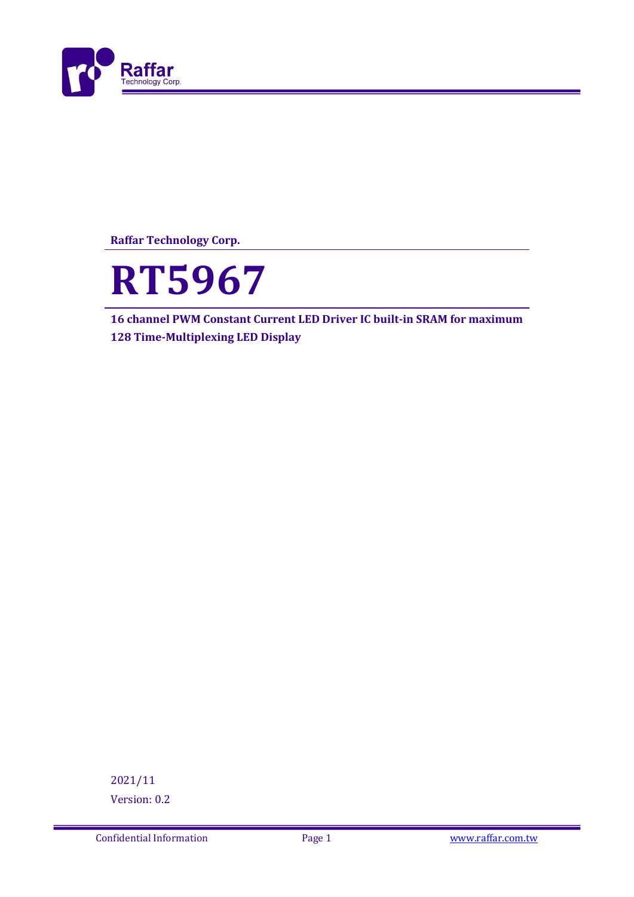

**Raffar Technology Corp.**



Ī

**16 channel PWM Constant Current LED Driver IC built-in SRAM for maximum 128 Time-Multiplexing LED Display**

2021/11 Version: 0.2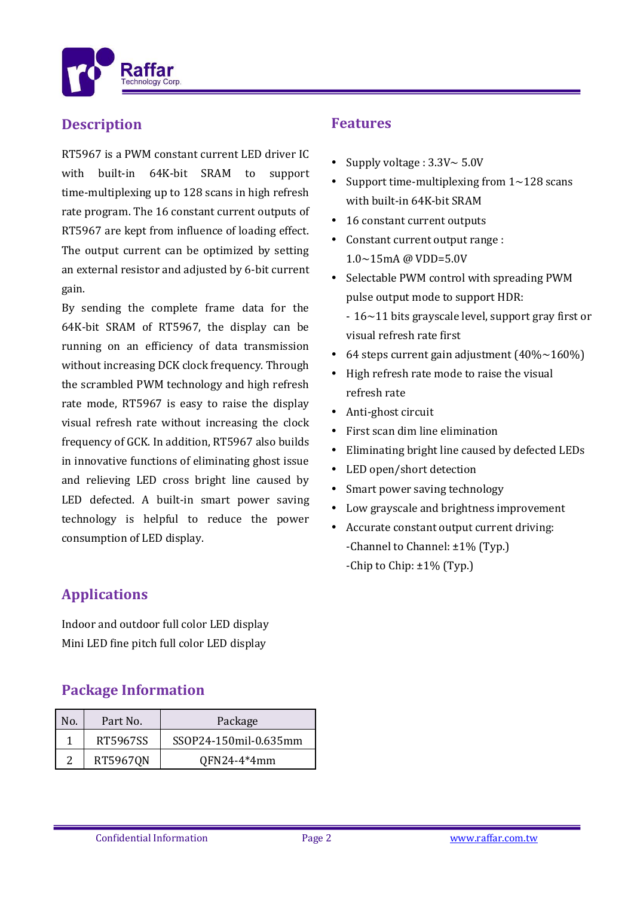

#### **Description**

RT5967 is a PWM constant current LED driver IC with built-in 64K-bit SRAM to support time-multiplexing up to 128 scans in high refresh rate program. The 16 constant current outputs of RT5967 are kept from influence of loading effect. The output current can be optimized by setting an external resistor and adjusted by 6-bit current gain.

Ī

By sending the complete frame data for the 64K-bit SRAM of RT5967, the display can be running on an efficiency of data transmission without increasing DCK clock frequency. Through the scrambled PWM technology and high refresh rate mode, RT5967 is easy to raise the display visual refresh rate without increasing the clock frequency of GCK. In addition, RT5967 also builds in innovative functions of eliminating ghost issue and relieving LED cross bright line caused by LED defected. A built-in smart power saving technology is helpful to reduce the power consumption of LED display.

# **Features**

- Supply voltage :  $3.3V \sim 5.0V$
- Support time-multiplexing from  $1 \sim 128$  scans with built-in 64K-bit SRAM
- 16 constant current outputs
- Constant current output range : 1.0~15mA @ VDD=5.0V
- Selectable PWM control with spreading PWM pulse output mode to support HDR:
	- 16~11 bits grayscale level, support gray first or visual refresh rate first
- 64 steps current gain adjustment  $(40\% \sim 160\%)$
- High refresh rate mode to raise the visual refresh rate
- Anti-ghost circuit
- First scan dim line elimination
- Eliminating bright line caused by defected LEDs
- LED open/short detection
- Smart power saving technology
- Low grayscale and brightness improvement
- Accurate constant output current driving: -Channel to Channel: ±1% (Typ.) -Chip to Chip: ±1% (Typ.)

### **Applications**

Indoor and outdoor full color LED display Mini LED fine pitch full color LED display

#### **Package Information**

| No. | Part No. | Package               |  |  |
|-----|----------|-----------------------|--|--|
|     | RT5967SS | SSOP24-150mil-0.635mm |  |  |
|     | RT5967QN | QFN24-4*4mm           |  |  |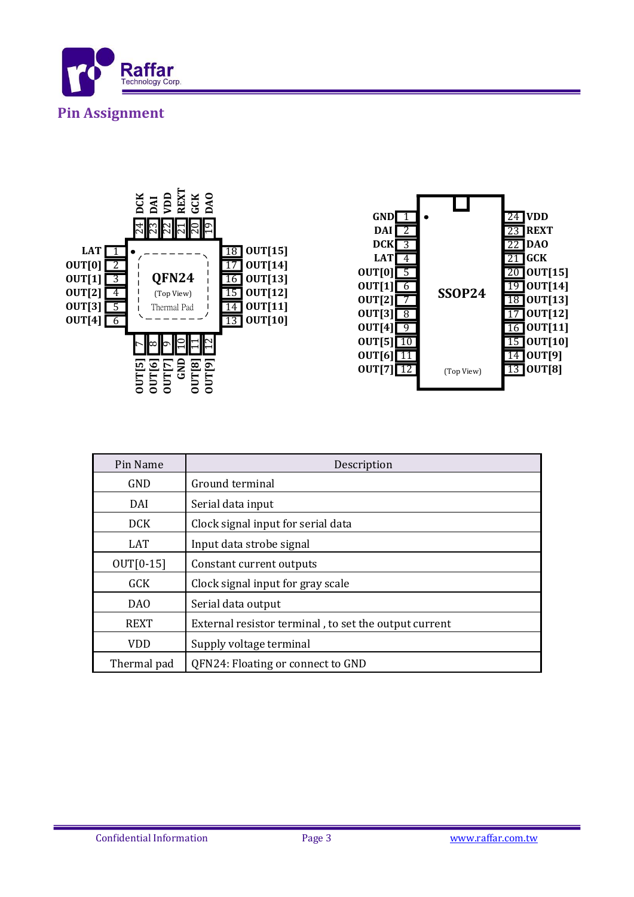





| Pin Name         | Description                                           |  |  |
|------------------|-------------------------------------------------------|--|--|
| GND              | Ground terminal                                       |  |  |
| DAI              | Serial data input                                     |  |  |
| DCK.             | Clock signal input for serial data                    |  |  |
| LAT <sub>1</sub> | Input data strobe signal                              |  |  |
| $OUT[0-15]$      | Constant current outputs                              |  |  |
| <b>GCK</b>       | Clock signal input for gray scale                     |  |  |
| D <sub>A</sub> O | Serial data output                                    |  |  |
| <b>REXT</b>      | External resistor terminal, to set the output current |  |  |
| VDD              | Supply voltage terminal                               |  |  |
| Thermal pad      | QFN24: Floating or connect to GND                     |  |  |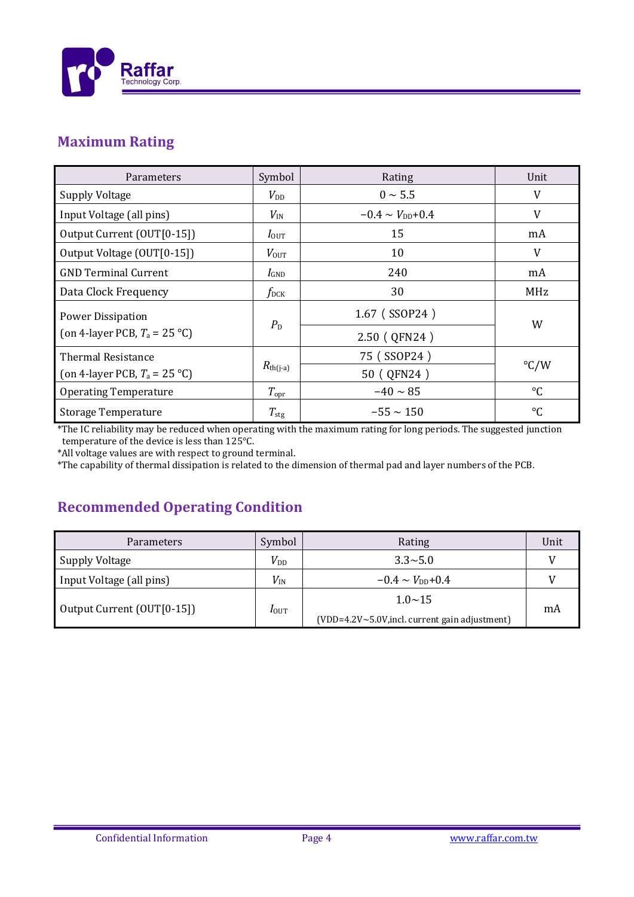

### **Maximum Rating**

| Parameters                                              | Symbol               | Rating                          | Unit            |
|---------------------------------------------------------|----------------------|---------------------------------|-----------------|
| <b>Supply Voltage</b>                                   | $V_{\rm DD}$         | $0 \sim 5.5$                    | V               |
| Input Voltage (all pins)                                | $V_{\rm IN}$         | $-0.4 \sim V_{\text{DD}} + 0.4$ | V               |
| Output Current (OUT[0-15])                              | $I_{\text{OUT}}$     | 15                              | mA              |
| Output Voltage (OUT[0-15])                              | $V_{\text{OUT}}$     | 10                              | V               |
| <b>GND Terminal Current</b>                             | $I_{\text{GND}}$     | 240                             | mA              |
| Data Clock Frequency                                    | $f_{\rm DCK}$        | 30                              | MHz             |
| <b>Power Dissipation</b>                                | $P_{\rm D}$          | 1.67 (SSOP24)                   | W               |
| (on 4-layer PCB, $T_a = 25 \text{ }^{\circ} \text{C}$ ) |                      | 2.50 (QFN24)                    |                 |
| <b>Thermal Resistance</b>                               | $R_{\text{th}(j-a)}$ | 75 (SSOP24)                     | $\degree$ C/W   |
| (on 4-layer PCB, $T_a = 25$ °C)                         |                      | 50 ( QFN24 )                    |                 |
| <b>Operating Temperature</b>                            | $T_{\rm opr}$        | $-40 \sim 85$                   | $\rm ^{\circ}C$ |
| <b>Storage Temperature</b>                              | $T_{\rm stg}$        | $-55 \sim 150$                  | $\rm ^{\circ}C$ |

\*The IC reliability may be reduced when operating with the maximum rating for long periods. The suggested junction temperature of the device is less than 125°C.

\*All voltage values are with respect to ground terminal.

\*The capability of thermal dissipation is related to the dimension of thermal pad and layer numbers of the PCB.

### **Recommended Operating Condition**

| <b>Parameters</b>          | Symbol           | Rating                                           | Unit |
|----------------------------|------------------|--------------------------------------------------|------|
| <b>Supply Voltage</b>      | $V_{DD}$         | $3.3 \sim 5.0$                                   |      |
| Input Voltage (all pins)   | $V_{\rm IN}$     | $-0.4 \sim V_{\text{DD}} + 0.4$                  |      |
| Output Current (OUT[0-15]) | $I_{\text{OUT}}$ | $1.0 \sim 15$                                    | mA   |
|                            |                  | $(VDD=4.2V~5.0V,$ incl. current gain adjustment) |      |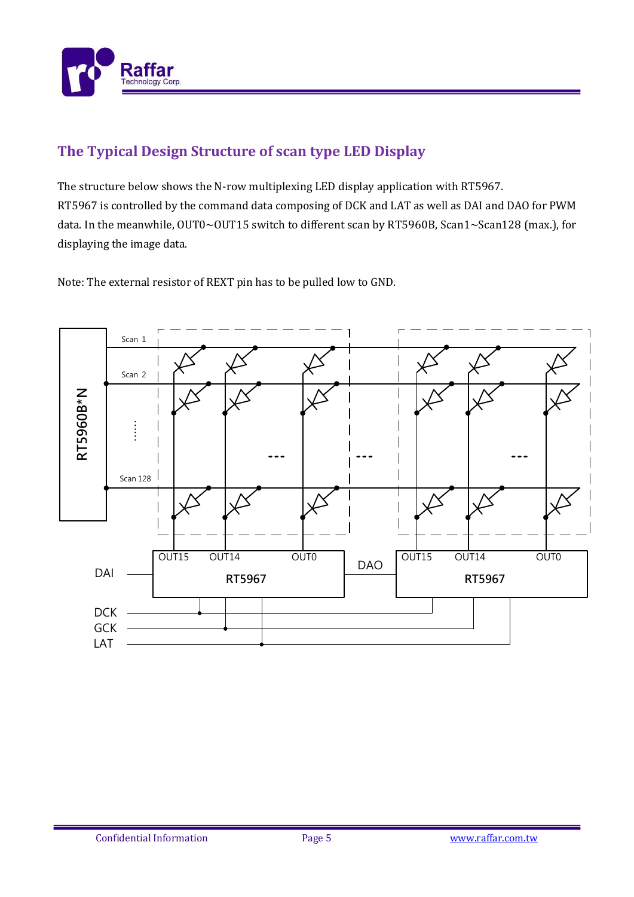

## **The Typical Design Structure of scan type LED Display**

The structure below shows the N-row multiplexing LED display application with RT5967. RT5967 is controlled by the command data composing of DCK and LAT as well as DAI and DAO for PWM data. In the meanwhile, OUT0~OUT15 switch to different scan by RT5960B, Scan1~Scan128 (max.), for displaying the image data.

Note: The external resistor of REXT pin has to be pulled low to GND.

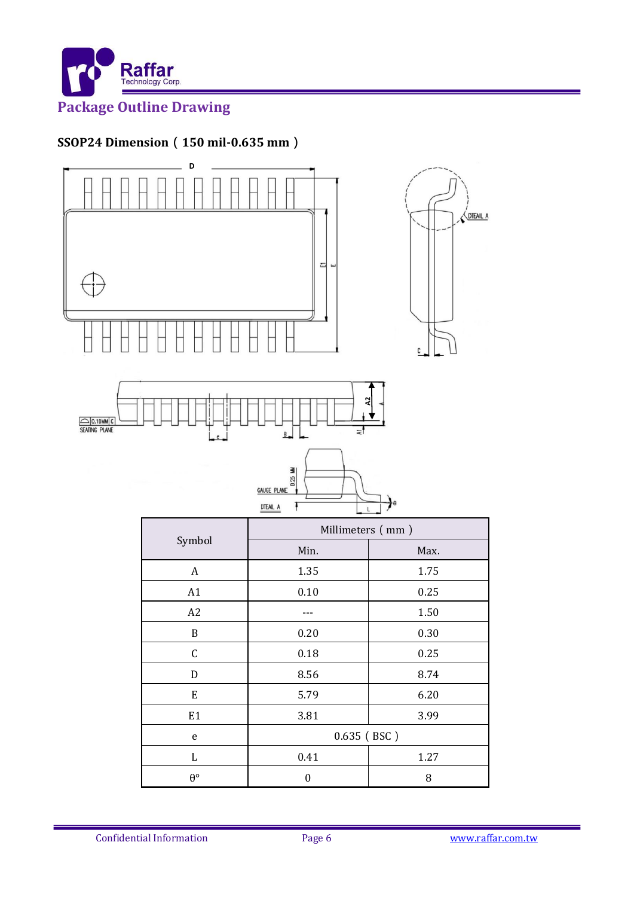

#### **SSOP24 Dimension**(**150 mil-0.635 mm**)



Confidential Information Page 6 Www.raffar.com.tw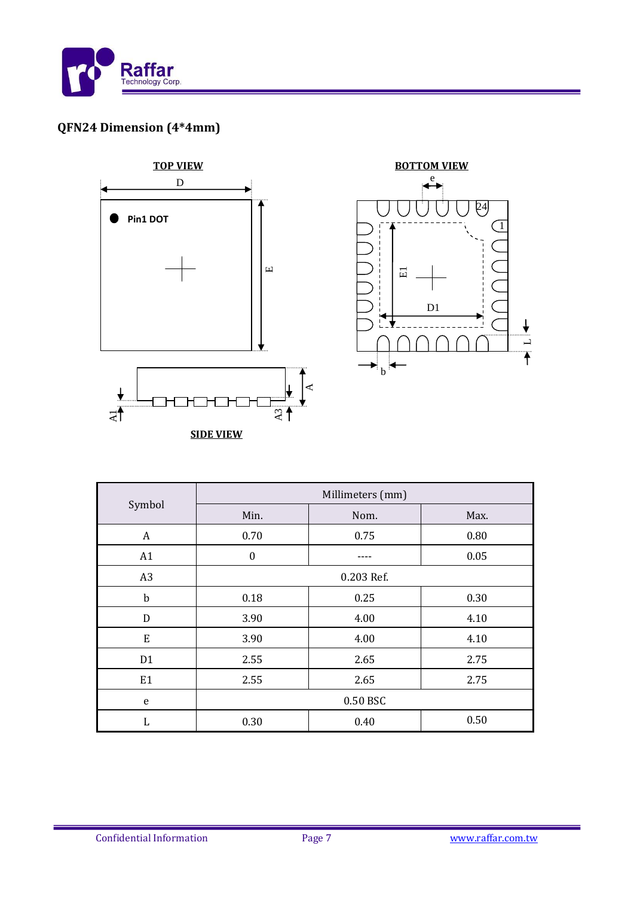

# **QFN24 Dimension (4\*4mm)**



|                | Millimeters (mm) |      |      |  |
|----------------|------------------|------|------|--|
| Symbol         | Min.             | Nom. | Max. |  |
| A              | 0.70             | 0.75 | 0.80 |  |
| A1             | $\boldsymbol{0}$ |      | 0.05 |  |
| A <sub>3</sub> | 0.203 Ref.       |      |      |  |
| $\mathbf b$    | 0.18             | 0.25 | 0.30 |  |
| D              | 3.90             | 4.00 | 4.10 |  |
| E              | 3.90             | 4.00 | 4.10 |  |
| D <sub>1</sub> | 2.55             | 2.65 | 2.75 |  |
| E <sub>1</sub> | 2.55             | 2.65 | 2.75 |  |
| e              | 0.50 BSC         |      |      |  |
| L              | 0.30             | 0.40 | 0.50 |  |